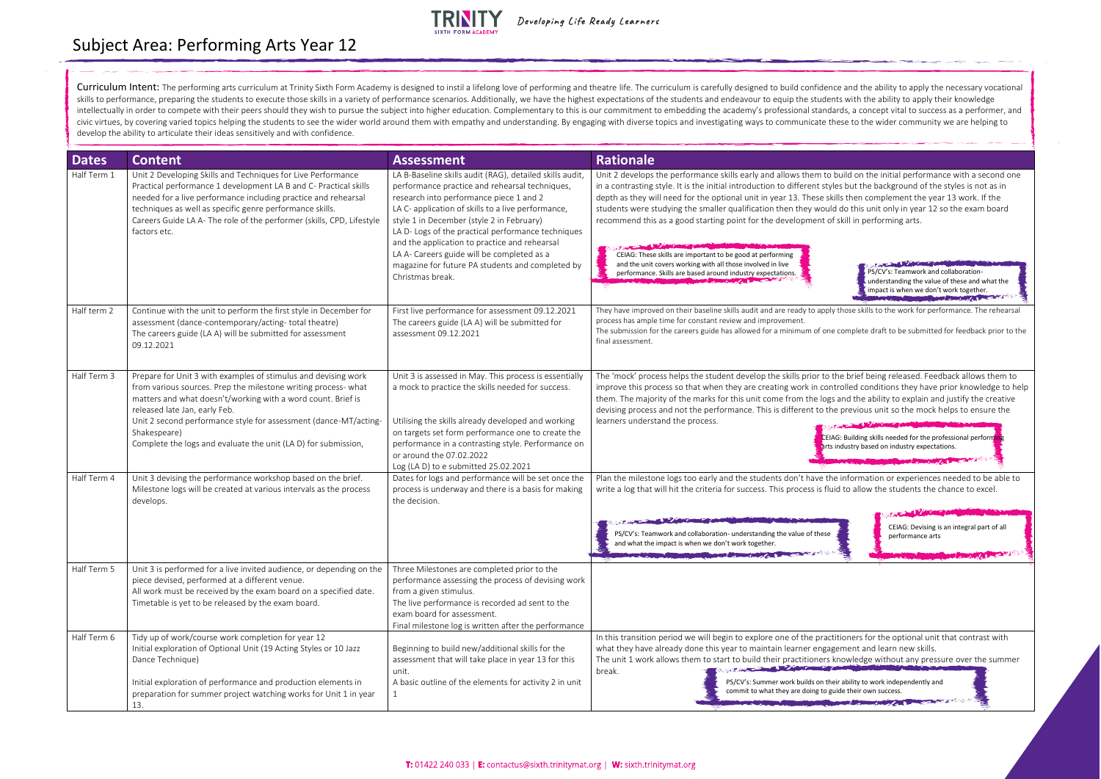Curriculum Intent: The performing arts curriculum at Trinity Sixth Form Academy is designed to instil a lifelong love of performing and theatre life. The curriculum is carefully designed to build confidence and the ability skills to performance, preparing the students to execute those skills in a variety of performance scenarios. Additionally, we have the highest expectations of the students and endeavour to equip the students with the abili intellectually in order to compete with their peers should they wish to pursue the subject into higher education. Complementary to this is our commitment to embedding the academy's professional standards, a concept vital t civic virtues, by covering varied topics helping the students to see the wider world around them with empathy and understanding. By engaging with diverse topics and investigating ways to communicate these to the wider comm develop the ability to articulate their ideas sensitively and with confidence.

| <b>Dates</b> | <b>Content</b>                                                                                                                                                                                                                                                                                                                                                                          | <b>Assessment</b>                                                                                                                                                                                                                                                                                                                                                                                                                                                                     | <b>Rationale</b>                                                                                                                                                                                                                                                                                                                                                                                                                                                                                                                                 |
|--------------|-----------------------------------------------------------------------------------------------------------------------------------------------------------------------------------------------------------------------------------------------------------------------------------------------------------------------------------------------------------------------------------------|---------------------------------------------------------------------------------------------------------------------------------------------------------------------------------------------------------------------------------------------------------------------------------------------------------------------------------------------------------------------------------------------------------------------------------------------------------------------------------------|--------------------------------------------------------------------------------------------------------------------------------------------------------------------------------------------------------------------------------------------------------------------------------------------------------------------------------------------------------------------------------------------------------------------------------------------------------------------------------------------------------------------------------------------------|
| Half Term 1  | Unit 2 Developing Skills and Techniques for Live Performance<br>Practical performance 1 development LA B and C- Practical skills<br>needed for a live performance including practice and rehearsal<br>techniques as well as specific genre performance skills.<br>Careers Guide LA A- The role of the performer (skills, CPD, Lifestyle<br>factors etc.                                 | LA B-Baseline skills audit (RAG), detailed skills audit,<br>performance practice and rehearsal techniques,<br>research into performance piece 1 and 2<br>LA C- application of skills to a live performance,<br>style 1 in December (style 2 in February)<br>LA D- Logs of the practical performance techniques<br>and the application to practice and rehearsal<br>LA A- Careers guide will be completed as a<br>magazine for future PA students and completed by<br>Christmas break. | Unit 2 develops the performance skills early and allows them to<br>in a contrasting style. It is the initial introduction to different sty<br>depth as they will need for the optional unit in year 13. These sk<br>students were studying the smaller qualification then they woul<br>recommend this as a good starting point for the development o<br>CEIAG: These skills are important to be good at performing<br>and the unit covers working with all those involved in live<br>performance. Skills are based around industry expectations. |
| Half term 2  | Continue with the unit to perform the first style in December for<br>assessment (dance-contemporary/acting-total theatre)<br>The careers guide (LA A) will be submitted for assessment<br>09.12.2021                                                                                                                                                                                    | First live performance for assessment 09.12.2021<br>The careers guide (LA A) will be submitted for<br>assessment 09.12.2021                                                                                                                                                                                                                                                                                                                                                           | They have improved on their baseline skills audit and are ready to apply<br>process has ample time for constant review and improvement.<br>The submission for the careers guide has allowed for a minimum of one<br>final assessment.                                                                                                                                                                                                                                                                                                            |
| Half Term 3  | Prepare for Unit 3 with examples of stimulus and devising work<br>from various sources. Prep the milestone writing process- what<br>matters and what doesn't/working with a word count. Brief is<br>released late Jan, early Feb.<br>Unit 2 second performance style for assessment (dance-MT/acting-<br>Shakespeare)<br>Complete the logs and evaluate the unit (LA D) for submission, | Unit 3 is assessed in May. This process is essentially<br>a mock to practice the skills needed for success.<br>Utilising the skills already developed and working<br>on targets set form performance one to create the<br>performance in a contrasting style. Performance on<br>or around the 07.02.2022<br>Log (LA D) to e submitted 25.02.2021                                                                                                                                      | The 'mock' process helps the student develop the skills prior to<br>improve this process so that when they are creating work in con<br>them. The majority of the marks for this unit come from the log<br>devising process and not the performance. This is different to th<br>learners understand the process.<br>ECEI <sub>/</sub><br>Parts                                                                                                                                                                                                    |
| Half Term 4  | Unit 3 devising the performance workshop based on the brief.<br>Milestone logs will be created at various intervals as the process<br>develops.                                                                                                                                                                                                                                         | Dates for logs and performance will be set once the<br>process is underway and there is a basis for making<br>the decision.                                                                                                                                                                                                                                                                                                                                                           | Plan the milestone logs too early and the students don't have th<br>write a log that will hit the criteria for success. This process is flu                                                                                                                                                                                                                                                                                                                                                                                                      |
|              |                                                                                                                                                                                                                                                                                                                                                                                         |                                                                                                                                                                                                                                                                                                                                                                                                                                                                                       | PS/CV's: Teamwork and collaboration- understanding the value of these<br>and what the impact is when we don't work together.<br><b>COMPANY AND RESIDENCE OF A REAL PROPERTY AND RELEASED FOR A REAL PROPERTY</b>                                                                                                                                                                                                                                                                                                                                 |
| Half Term 5  | Unit 3 is performed for a live invited audience, or depending on the<br>piece devised, performed at a different venue.<br>All work must be received by the exam board on a specified date.<br>Timetable is yet to be released by the exam board.                                                                                                                                        | Three Milestones are completed prior to the<br>performance assessing the process of devising work<br>from a given stimulus.<br>The live performance is recorded ad sent to the<br>exam board for assessment.<br>Final milestone log is written after the performance                                                                                                                                                                                                                  |                                                                                                                                                                                                                                                                                                                                                                                                                                                                                                                                                  |
| Half Term 6  | Tidy up of work/course work completion for year 12<br>Initial exploration of Optional Unit (19 Acting Styles or 10 Jazz<br>Dance Technique)                                                                                                                                                                                                                                             | Beginning to build new/additional skills for the<br>assessment that will take place in year 13 for this<br>unit.                                                                                                                                                                                                                                                                                                                                                                      | In this transition period we will begin to explore one of the pract<br>what they have already done this year to maintain learner engag<br>The unit 1 work allows them to start to build their practitioners<br>break.                                                                                                                                                                                                                                                                                                                            |
|              | Initial exploration of performance and production elements in<br>preparation for summer project watching works for Unit 1 in year<br>13.                                                                                                                                                                                                                                                | A basic outline of the elements for activity 2 in unit<br>1                                                                                                                                                                                                                                                                                                                                                                                                                           | PS/CV's: Summer work builds on th<br>commit to what they are doing to g                                                                                                                                                                                                                                                                                                                                                                                                                                                                          |



Subject Area: Performing Arts Year 12



Developing Life Ready Learners